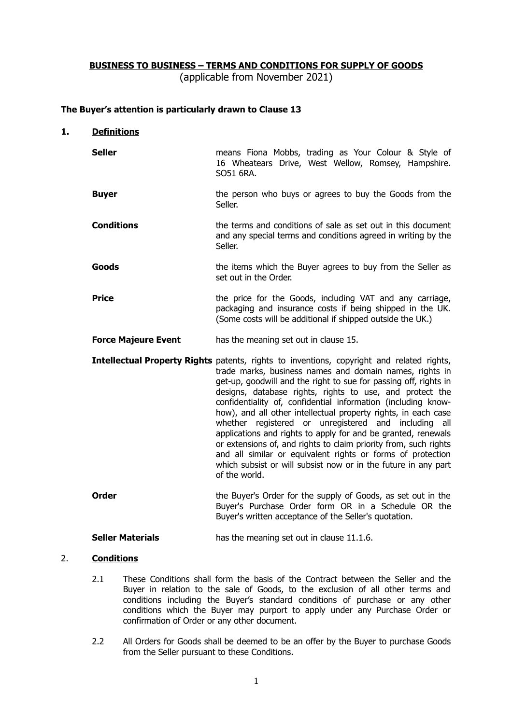# **BUSINESS TO BUSINESS – TERMS AND CONDITIONS FOR SUPPLY OF GOODS**

(applicable from November 2021)

## **The Buyer's attention is particularly drawn to Clause 13**

#### **1. Definitions**

- **Seller means Fiona Mobbs, trading as Your Colour & Style of** 16 Wheatears Drive, West Wellow, Romsey, Hampshire. SO51 6RA.
- **Buyer the person who buys or agrees to buy the Goods from the** Seller.
- **Conditions** the terms and conditions of sale as set out in this document and any special terms and conditions agreed in writing by the Seller.
- **Goods Goods** the items which the Buyer agrees to buy from the Seller as set out in the Order.
- **Price** the price for the Goods, including VAT and any carriage, packaging and insurance costs if being shipped in the UK. (Some costs will be additional if shipped outside the UK.)
- **Force Majeure Event** has the meaning set out in clause 15.
- **Intellectual Property Rights** patents, rights to inventions, copyright and related rights, trade marks, business names and domain names, rights in get-up, goodwill and the right to sue for passing off, rights in designs, database rights, rights to use, and protect the confidentiality of, confidential information (including knowhow), and all other intellectual property rights, in each case whether registered or unregistered and including all applications and rights to apply for and be granted, renewals or extensions of, and rights to claim priority from, such rights and all similar or equivalent rights or forms of protection which subsist or will subsist now or in the future in any part of the world.
- **Order** The Buyer's Order for the supply of Goods, as set out in the Buyer's Purchase Order form OR in a Schedule OR the Buyer's written acceptance of the Seller's quotation.

**Seller Materials** has the meaning set out in clause 11.1.6.

### 2. **Conditions**

- 2.1 These Conditions shall form the basis of the Contract between the Seller and the Buyer in relation to the sale of Goods, to the exclusion of all other terms and conditions including the Buyer's standard conditions of purchase or any other conditions which the Buyer may purport to apply under any Purchase Order or confirmation of Order or any other document.
- 2.2 All Orders for Goods shall be deemed to be an offer by the Buyer to purchase Goods from the Seller pursuant to these Conditions.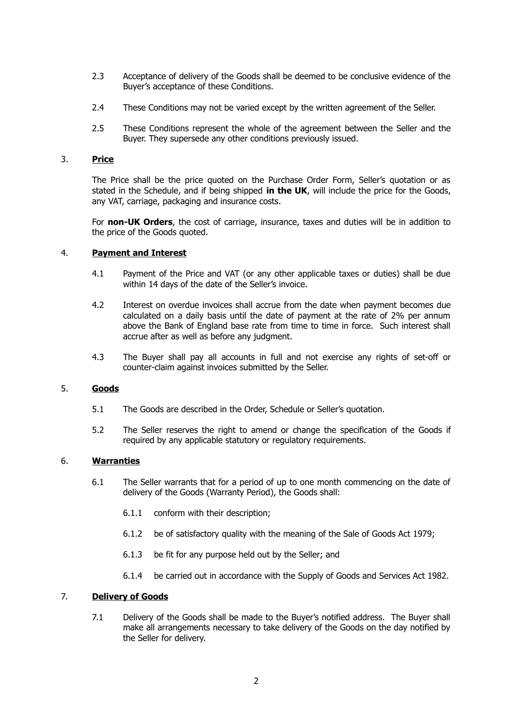- 2.3 Acceptance of delivery of the Goods shall be deemed to be conclusive evidence of the Buyer's acceptance of these Conditions.
- 2.4 These Conditions may not be varied except by the written agreement of the Seller.
- 2.5 These Conditions represent the whole of the agreement between the Seller and the Buyer. They supersede any other conditions previously issued.

### 3. **Price**

The Price shall be the price quoted on the Purchase Order Form, Seller's quotation or as stated in the Schedule, and if being shipped **in the UK**, will include the price for the Goods, any VAT, carriage, packaging and insurance costs.

For **non-UK Orders**, the cost of carriage, insurance, taxes and duties will be in addition to the price of the Goods quoted.

## 4. **Payment and Interest**

- 4.1 Payment of the Price and VAT (or any other applicable taxes or duties) shall be due within 14 days of the date of the Seller's invoice.
- 4.2 Interest on overdue invoices shall accrue from the date when payment becomes due calculated on a daily basis until the date of payment at the rate of 2% per annum above the Bank of England base rate from time to time in force. Such interest shall accrue after as well as before any judgment.
- 4.3 The Buyer shall pay all accounts in full and not exercise any rights of set-off or counter-claim against invoices submitted by the Seller.

#### 5. **Goods**

- 5.1 The Goods are described in the Order, Schedule or Seller's quotation.
- 5.2 The Seller reserves the right to amend or change the specification of the Goods if required by any applicable statutory or regulatory requirements.

### 6. **Warranties**

- 6.1 The Seller warrants that for a period of up to one month commencing on the date of delivery of the Goods (Warranty Period), the Goods shall:
	- 6.1.1 conform with their description;
	- 6.1.2 be of satisfactory quality with the meaning of the Sale of Goods Act 1979;
	- 6.1.3 be fit for any purpose held out by the Seller; and
	- 6.1.4 be carried out in accordance with the Supply of Goods and Services Act 1982.

### 7. **Delivery of Goods**

7.1 Delivery of the Goods shall be made to the Buyer's notified address. The Buyer shall make all arrangements necessary to take delivery of the Goods on the day notified by the Seller for delivery.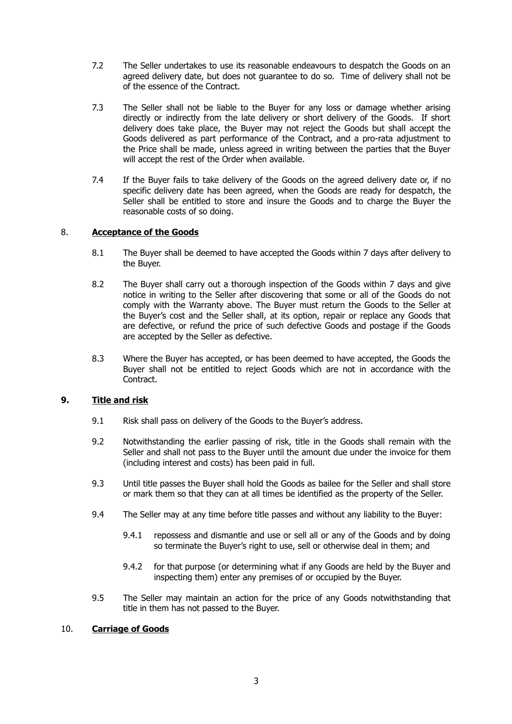- 7.2 The Seller undertakes to use its reasonable endeavours to despatch the Goods on an agreed delivery date, but does not guarantee to do so. Time of delivery shall not be of the essence of the Contract.
- 7.3 The Seller shall not be liable to the Buyer for any loss or damage whether arising directly or indirectly from the late delivery or short delivery of the Goods. If short delivery does take place, the Buyer may not reject the Goods but shall accept the Goods delivered as part performance of the Contract, and a pro-rata adjustment to the Price shall be made, unless agreed in writing between the parties that the Buyer will accept the rest of the Order when available.
- 7.4 If the Buyer fails to take delivery of the Goods on the agreed delivery date or, if no specific delivery date has been agreed, when the Goods are ready for despatch, the Seller shall be entitled to store and insure the Goods and to charge the Buyer the reasonable costs of so doing.

# 8. **Acceptance of the Goods**

- 8.1 The Buyer shall be deemed to have accepted the Goods within 7 days after delivery to the Buyer.
- 8.2 The Buyer shall carry out a thorough inspection of the Goods within 7 days and give notice in writing to the Seller after discovering that some or all of the Goods do not comply with the Warranty above. The Buyer must return the Goods to the Seller at the Buyer's cost and the Seller shall, at its option, repair or replace any Goods that are defective, or refund the price of such defective Goods and postage if the Goods are accepted by the Seller as defective.
- 8.3 Where the Buyer has accepted, or has been deemed to have accepted, the Goods the Buyer shall not be entitled to reject Goods which are not in accordance with the Contract.

# **9. Title and risk**

- 9.1 Risk shall pass on delivery of the Goods to the Buyer's address.
- 9.2 Notwithstanding the earlier passing of risk, title in the Goods shall remain with the Seller and shall not pass to the Buyer until the amount due under the invoice for them (including interest and costs) has been paid in full.
- 9.3 Until title passes the Buyer shall hold the Goods as bailee for the Seller and shall store or mark them so that they can at all times be identified as the property of the Seller.
- 9.4 The Seller may at any time before title passes and without any liability to the Buyer:
	- 9.4.1 repossess and dismantle and use or sell all or any of the Goods and by doing so terminate the Buyer's right to use, sell or otherwise deal in them; and
	- 9.4.2 for that purpose (or determining what if any Goods are held by the Buyer and inspecting them) enter any premises of or occupied by the Buyer.
- 9.5 The Seller may maintain an action for the price of any Goods notwithstanding that title in them has not passed to the Buyer.

### 10. **Carriage of Goods**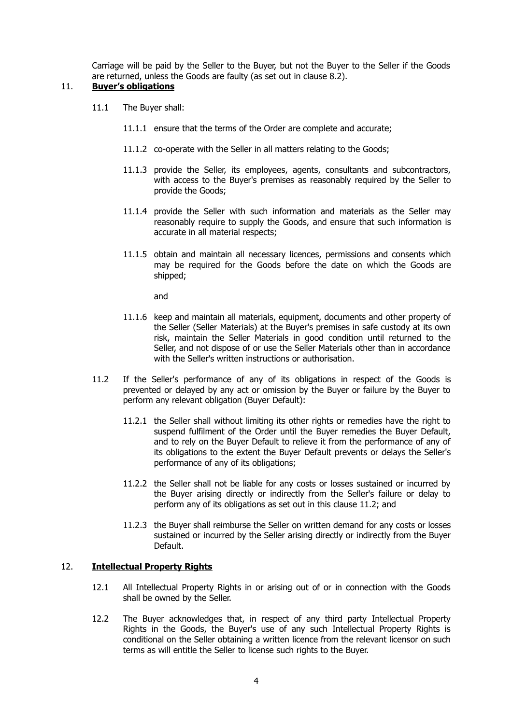Carriage will be paid by the Seller to the Buyer, but not the Buyer to the Seller if the Goods are returned, unless the Goods are faulty (as set out in clause 8.2).

# 11. **Buyer's obligations**

- 11.1 The Buyer shall:
	- 11.1.1 ensure that the terms of the Order are complete and accurate;
	- 11.1.2 co-operate with the Seller in all matters relating to the Goods;
	- 11.1.3 provide the Seller, its employees, agents, consultants and subcontractors, with access to the Buyer's premises as reasonably required by the Seller to provide the Goods;
	- 11.1.4 provide the Seller with such information and materials as the Seller may reasonably require to supply the Goods, and ensure that such information is accurate in all material respects;
	- 11.1.5 obtain and maintain all necessary licences, permissions and consents which may be required for the Goods before the date on which the Goods are shipped;

and

- 11.1.6 keep and maintain all materials, equipment, documents and other property of the Seller (Seller Materials) at the Buyer's premises in safe custody at its own risk, maintain the Seller Materials in good condition until returned to the Seller, and not dispose of or use the Seller Materials other than in accordance with the Seller's written instructions or authorisation.
- 11.2 If the Seller's performance of any of its obligations in respect of the Goods is prevented or delayed by any act or omission by the Buyer or failure by the Buyer to perform any relevant obligation (Buyer Default):
	- 11.2.1 the Seller shall without limiting its other rights or remedies have the right to suspend fulfilment of the Order until the Buyer remedies the Buyer Default, and to rely on the Buyer Default to relieve it from the performance of any of its obligations to the extent the Buyer Default prevents or delays the Seller's performance of any of its obligations;
	- 11.2.2 the Seller shall not be liable for any costs or losses sustained or incurred by the Buyer arising directly or indirectly from the Seller's failure or delay to perform any of its obligations as set out in this clause 11.2; and
	- 11.2.3 the Buyer shall reimburse the Seller on written demand for any costs or losses sustained or incurred by the Seller arising directly or indirectly from the Buyer Default.

### 12. **Intellectual Property Rights**

- 12.1 All Intellectual Property Rights in or arising out of or in connection with the Goods shall be owned by the Seller.
- 12.2 The Buyer acknowledges that, in respect of any third party Intellectual Property Rights in the Goods, the Buyer's use of any such Intellectual Property Rights is conditional on the Seller obtaining a written licence from the relevant licensor on such terms as will entitle the Seller to license such rights to the Buyer.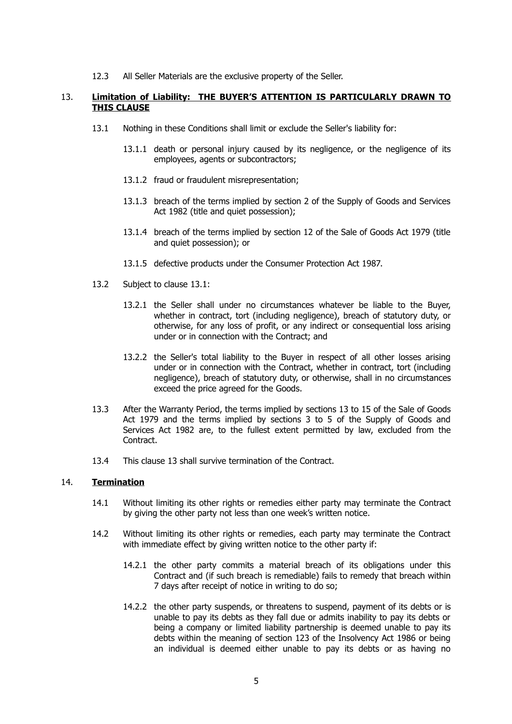12.3 All Seller Materials are the exclusive property of the Seller.

### 13. **Limitation of Liability: THE BUYER'S ATTENTION IS PARTICULARLY DRAWN TO THIS CLAUSE**

- 13.1 Nothing in these Conditions shall limit or exclude the Seller's liability for:
	- 13.1.1 death or personal injury caused by its negligence, or the negligence of its employees, agents or subcontractors;
	- 13.1.2 fraud or fraudulent misrepresentation;
	- 13.1.3 breach of the terms implied by section 2 of the Supply of Goods and Services Act 1982 (title and quiet possession);
	- 13.1.4 breach of the terms implied by section 12 of the Sale of Goods Act 1979 (title and quiet possession); or
	- 13.1.5 defective products under the Consumer Protection Act 1987.
- 13.2 Subject to clause 13.1:
	- 13.2.1 the Seller shall under no circumstances whatever be liable to the Buyer, whether in contract, tort (including negligence), breach of statutory duty, or otherwise, for any loss of profit, or any indirect or consequential loss arising under or in connection with the Contract; and
	- 13.2.2 the Seller's total liability to the Buyer in respect of all other losses arising under or in connection with the Contract, whether in contract, tort (including negligence), breach of statutory duty, or otherwise, shall in no circumstances exceed the price agreed for the Goods.
- 13.3 After the Warranty Period, the terms implied by sections 13 to 15 of the Sale of Goods Act 1979 and the terms implied by sections 3 to 5 of the Supply of Goods and Services Act 1982 are, to the fullest extent permitted by law, excluded from the **Contract**
- 13.4 This clause 13 shall survive termination of the Contract.

### 14. **Termination**

- 14.1 Without limiting its other rights or remedies either party may terminate the Contract by giving the other party not less than one week's written notice.
- 14.2 Without limiting its other rights or remedies, each party may terminate the Contract with immediate effect by giving written notice to the other party if:
	- 14.2.1 the other party commits a material breach of its obligations under this Contract and (if such breach is remediable) fails to remedy that breach within 7 days after receipt of notice in writing to do so;
	- 14.2.2 the other party suspends, or threatens to suspend, payment of its debts or is unable to pay its debts as they fall due or admits inability to pay its debts or being a company or limited liability partnership is deemed unable to pay its debts within the meaning of section 123 of the Insolvency Act 1986 or being an individual is deemed either unable to pay its debts or as having no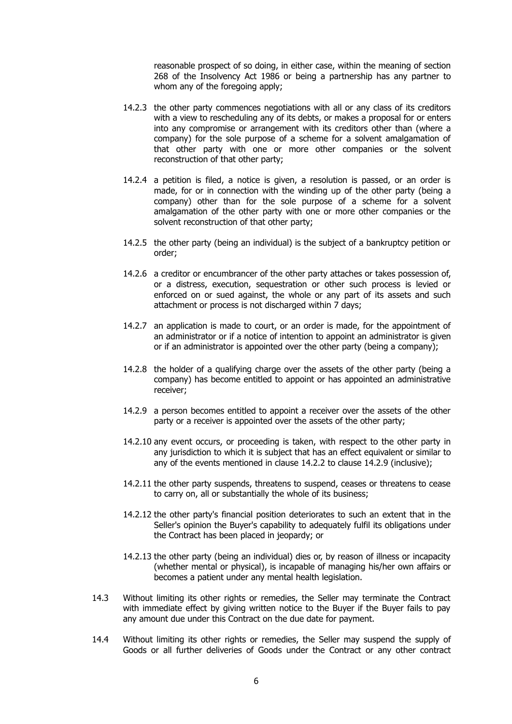reasonable prospect of so doing, in either case, within the meaning of section 268 of the Insolvency Act 1986 or being a partnership has any partner to whom any of the foregoing apply;

- 14.2.3 the other party commences negotiations with all or any class of its creditors with a view to rescheduling any of its debts, or makes a proposal for or enters into any compromise or arrangement with its creditors other than (where a company) for the sole purpose of a scheme for a solvent amalgamation of that other party with one or more other companies or the solvent reconstruction of that other party;
- 14.2.4 a petition is filed, a notice is given, a resolution is passed, or an order is made, for or in connection with the winding up of the other party (being a company) other than for the sole purpose of a scheme for a solvent amalgamation of the other party with one or more other companies or the solvent reconstruction of that other party;
- 14.2.5 the other party (being an individual) is the subject of a bankruptcy petition or order;
- 14.2.6 a creditor or encumbrancer of the other party attaches or takes possession of, or a distress, execution, sequestration or other such process is levied or enforced on or sued against, the whole or any part of its assets and such attachment or process is not discharged within 7 days;
- 14.2.7 an application is made to court, or an order is made, for the appointment of an administrator or if a notice of intention to appoint an administrator is given or if an administrator is appointed over the other party (being a company);
- 14.2.8 the holder of a qualifying charge over the assets of the other party (being a company) has become entitled to appoint or has appointed an administrative receiver;
- 14.2.9 a person becomes entitled to appoint a receiver over the assets of the other party or a receiver is appointed over the assets of the other party;
- 14.2.10 any event occurs, or proceeding is taken, with respect to the other party in any jurisdiction to which it is subject that has an effect equivalent or similar to any of the events mentioned in clause 14.2.2 to clause 14.2.9 (inclusive);
- 14.2.11 the other party suspends, threatens to suspend, ceases or threatens to cease to carry on, all or substantially the whole of its business;
- 14.2.12 the other party's financial position deteriorates to such an extent that in the Seller's opinion the Buyer's capability to adequately fulfil its obligations under the Contract has been placed in jeopardy; or
- 14.2.13 the other party (being an individual) dies or, by reason of illness or incapacity (whether mental or physical), is incapable of managing his/her own affairs or becomes a patient under any mental health legislation.
- 14.3 Without limiting its other rights or remedies, the Seller may terminate the Contract with immediate effect by giving written notice to the Buyer if the Buyer fails to pay any amount due under this Contract on the due date for payment.
- 14.4 Without limiting its other rights or remedies, the Seller may suspend the supply of Goods or all further deliveries of Goods under the Contract or any other contract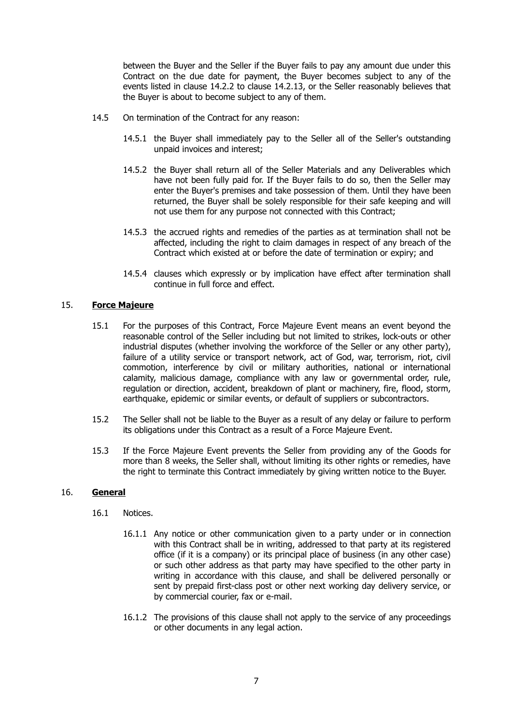between the Buyer and the Seller if the Buyer fails to pay any amount due under this Contract on the due date for payment, the Buyer becomes subject to any of the events listed in clause 14.2.2 to clause 14.2.13, or the Seller reasonably believes that the Buyer is about to become subject to any of them.

- 14.5 On termination of the Contract for any reason:
	- 14.5.1 the Buyer shall immediately pay to the Seller all of the Seller's outstanding unpaid invoices and interest;
	- 14.5.2 the Buyer shall return all of the Seller Materials and any Deliverables which have not been fully paid for. If the Buyer fails to do so, then the Seller may enter the Buyer's premises and take possession of them. Until they have been returned, the Buyer shall be solely responsible for their safe keeping and will not use them for any purpose not connected with this Contract;
	- 14.5.3 the accrued rights and remedies of the parties as at termination shall not be affected, including the right to claim damages in respect of any breach of the Contract which existed at or before the date of termination or expiry; and
	- 14.5.4 clauses which expressly or by implication have effect after termination shall continue in full force and effect.

### 15. **Force Majeure**

- 15.1 For the purposes of this Contract, Force Majeure Event means an event beyond the reasonable control of the Seller including but not limited to strikes, lock-outs or other industrial disputes (whether involving the workforce of the Seller or any other party), failure of a utility service or transport network, act of God, war, terrorism, riot, civil commotion, interference by civil or military authorities, national or international calamity, malicious damage, compliance with any law or governmental order, rule, regulation or direction, accident, breakdown of plant or machinery, fire, flood, storm, earthquake, epidemic or similar events, or default of suppliers or subcontractors.
- 15.2 The Seller shall not be liable to the Buyer as a result of any delay or failure to perform its obligations under this Contract as a result of a Force Majeure Event.
- 15.3 If the Force Majeure Event prevents the Seller from providing any of the Goods for more than 8 weeks, the Seller shall, without limiting its other rights or remedies, have the right to terminate this Contract immediately by giving written notice to the Buyer.

#### 16. **General**

- 16.1 Notices.
	- 16.1.1 Any notice or other communication given to a party under or in connection with this Contract shall be in writing, addressed to that party at its registered office (if it is a company) or its principal place of business (in any other case) or such other address as that party may have specified to the other party in writing in accordance with this clause, and shall be delivered personally or sent by prepaid first-class post or other next working day delivery service, or by commercial courier, fax or e-mail.
	- 16.1.2 The provisions of this clause shall not apply to the service of any proceedings or other documents in any legal action.